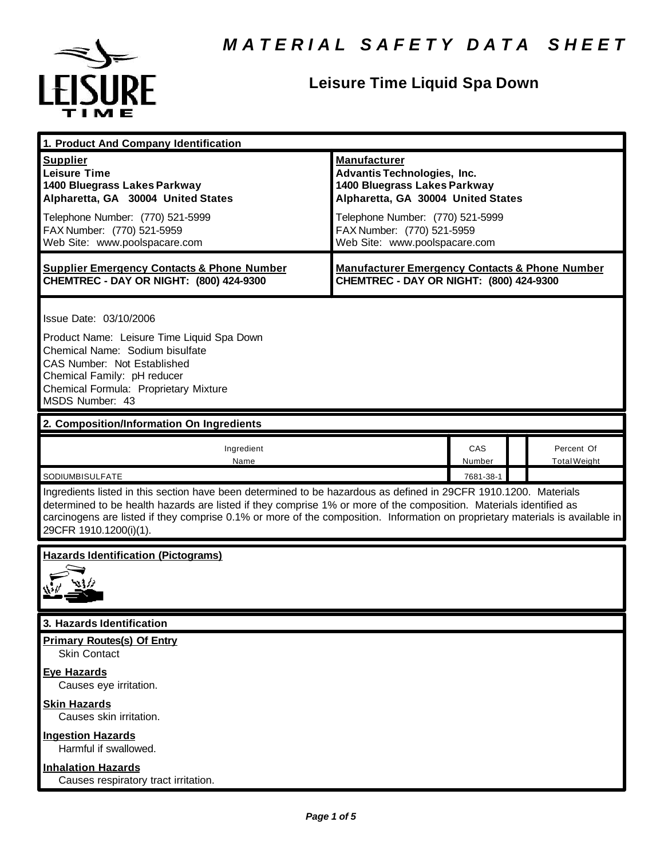

## **Leisure Time Liquid Spa Down**

| 1. Product And Company Identification                                                                                                                                                                                                                                                                                                                                                                                             |                                                                                                                                                                                                                                    |               |                                   |
|-----------------------------------------------------------------------------------------------------------------------------------------------------------------------------------------------------------------------------------------------------------------------------------------------------------------------------------------------------------------------------------------------------------------------------------|------------------------------------------------------------------------------------------------------------------------------------------------------------------------------------------------------------------------------------|---------------|-----------------------------------|
| <b>Supplier</b><br><b>Leisure Time</b><br>1400 Bluegrass Lakes Parkway<br>Alpharetta, GA 30004 United States<br>Telephone Number: (770) 521-5999<br>FAX Number: (770) 521-5959<br>Web Site: www.poolspacare.com                                                                                                                                                                                                                   | <b>Manufacturer</b><br><b>Advantis Technologies, Inc.</b><br>1400 Bluegrass Lakes Parkway<br>Alpharetta, GA 30004 United States<br>Telephone Number: (770) 521-5999<br>FAX Number: (770) 521-5959<br>Web Site: www.poolspacare.com |               |                                   |
| <b>Supplier Emergency Contacts &amp; Phone Number</b><br>CHEMTREC - DAY OR NIGHT: (800) 424-9300                                                                                                                                                                                                                                                                                                                                  | <b>Manufacturer Emergency Contacts &amp; Phone Number</b><br>CHEMTREC - DAY OR NIGHT: (800) 424-9300                                                                                                                               |               |                                   |
| Issue Date: 03/10/2006<br>Product Name: Leisure Time Liquid Spa Down<br>Chemical Name: Sodium bisulfate<br>CAS Number: Not Established<br>Chemical Family: pH reducer<br>Chemical Formula: Proprietary Mixture<br>MSDS Number: 43                                                                                                                                                                                                 |                                                                                                                                                                                                                                    |               |                                   |
| 2. Composition/Information On Ingredients                                                                                                                                                                                                                                                                                                                                                                                         |                                                                                                                                                                                                                                    |               |                                   |
| Ingredient<br>Name                                                                                                                                                                                                                                                                                                                                                                                                                |                                                                                                                                                                                                                                    | CAS<br>Number | Percent Of<br><b>Total Weight</b> |
| 7681-38-1<br>SODIUMBISULFATE<br>Ingredients listed in this section have been determined to be hazardous as defined in 29CFR 1910.1200. Materials<br>determined to be health hazards are listed if they comprise 1% or more of the composition. Materials identified as<br>carcinogens are listed if they comprise 0.1% or more of the composition. Information on proprietary materials is available in<br>29CFR 1910.1200(i)(1). |                                                                                                                                                                                                                                    |               |                                   |
| <b>Hazards Identification (Pictograms)</b>                                                                                                                                                                                                                                                                                                                                                                                        |                                                                                                                                                                                                                                    |               |                                   |
| 3. Hazards Identification                                                                                                                                                                                                                                                                                                                                                                                                         |                                                                                                                                                                                                                                    |               |                                   |
| <b>Primary Routes(s) Of Entry</b><br><b>Skin Contact</b><br><b>Eye Hazards</b><br>Causes eye irritation.                                                                                                                                                                                                                                                                                                                          |                                                                                                                                                                                                                                    |               |                                   |
| <b>Skin Hazards</b><br>Causes skin irritation.<br><b>Ingestion Hazards</b><br>Harmful if swallowed.                                                                                                                                                                                                                                                                                                                               |                                                                                                                                                                                                                                    |               |                                   |
| <b>Inhalation Hazards</b><br>Causes respiratory tract irritation.                                                                                                                                                                                                                                                                                                                                                                 |                                                                                                                                                                                                                                    |               |                                   |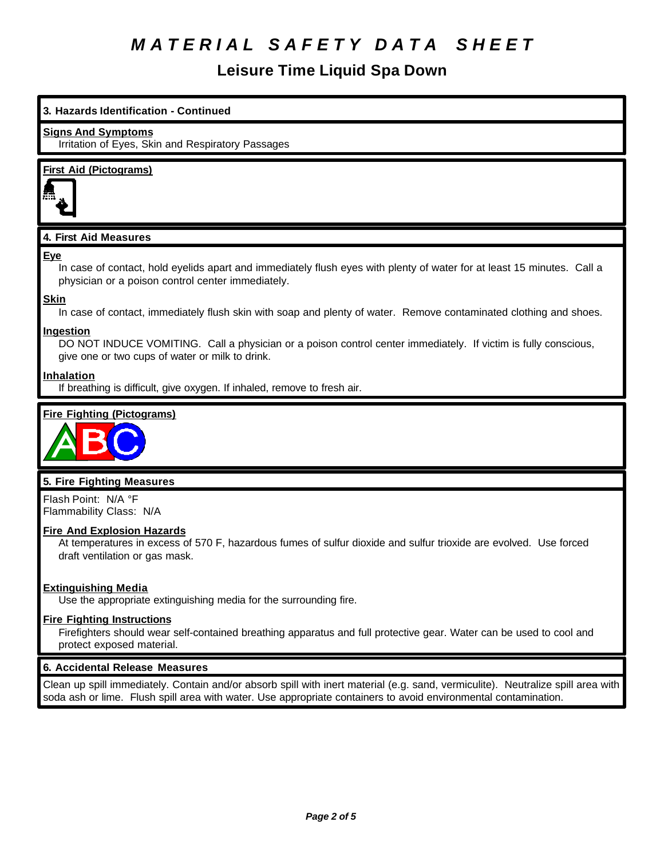## **Leisure Time Liquid Spa Down**

# **3. Hazards Identification - Continued Signs And Symptoms** Irritation of Eyes, Skin and Respiratory Passages **First Aid (Pictograms) 4. First Aid Measures Eye** In case of contact, hold eyelids apart and immediately flush eyes with plenty of water for at least 15 minutes. Call a physician or a poison control center immediately. **Skin** In case of contact, immediately flush skin with soap and plenty of water. Remove contaminated clothing and shoes. **Ingestion** DO NOT INDUCE VOMITING. Call a physician or a poison control center immediately. If victim is fully conscious, give one or two cups of water or milk to drink. **Inhalation** If breathing is difficult, give oxygen. If inhaled, remove to fresh air. **Fire Fighting (Pictograms)**



## **5. Fire Fighting Measures**

Flash Point: N/A °F Flammability Class: N/A

### **Fire And Explosion Hazards**

At temperatures in excess of 570 F, hazardous fumes of sulfur dioxide and sulfur trioxide are evolved. Use forced draft ventilation or gas mask.

## **Extinguishing Media**

Use the appropriate extinguishing media for the surrounding fire.

### **Fire Fighting Instructions**

Firefighters should wear self-contained breathing apparatus and full protective gear. Water can be used to cool and protect exposed material.

### **6. Accidental Release Measures**

Clean up spill immediately. Contain and/or absorb spill with inert material (e.g. sand, vermiculite). Neutralize spill area with soda ash or lime. Flush spill area with water. Use appropriate containers to avoid environmental contamination.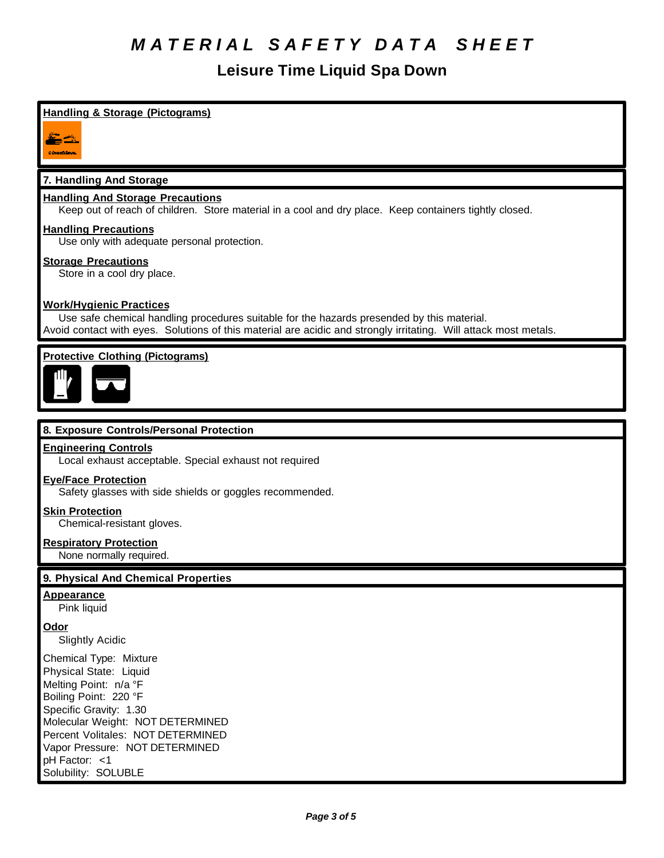## **Leisure Time Liquid Spa Down**

## **Handling & Storage (Pictograms)**

2 st CONNECTIONS:

## **7. Handling And Storage**

### **Handling And Storage Precautions**

Keep out of reach of children. Store material in a cool and dry place. Keep containers tightly closed.

#### **Handling Precautions**

Use only with adequate personal protection.

#### **Storage Precautions**

Store in a cool dry place.

### **Work/Hygienic Practices**

Use safe chemical handling procedures suitable for the hazards presended by this material. Avoid contact with eyes. Solutions of this material are acidic and strongly irritating. Will attack most metals.

## **Protective Clothing (Pictograms)**



#### **8. Exposure Controls/Personal Protection**

#### **Engineering Controls**

Local exhaust acceptable. Special exhaust not required

#### **Eye/Face Protection**

Safety glasses with side shields or goggles recommended.

#### **Skin Protection**

Chemical-resistant gloves.

#### **Respiratory Protection**

None normally required.

#### **9. Physical And Chemical Properties**

#### **Appearance**

Pink liquid

#### **Odor**

Slightly Acidic

Chemical Type: Mixture Physical State: Liquid Melting Point: n/a °F Boiling Point: 220 °F Specific Gravity: 1.30 Molecular Weight: NOT DETERMINED Percent Volitales: NOT DETERMINED Vapor Pressure: NOT DETERMINED pH Factor: <1 Solubility: SOLUBLE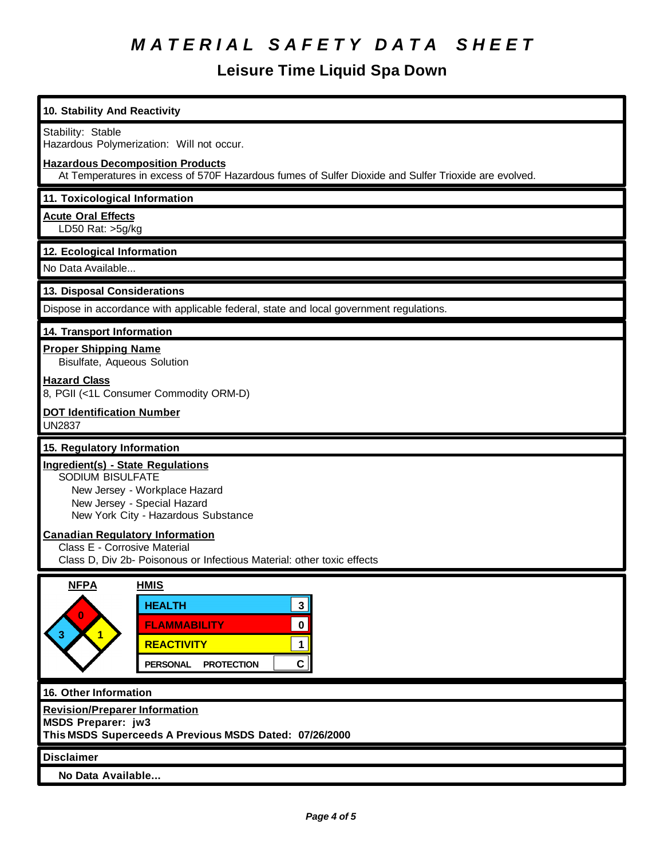## **Leisure Time Liquid Spa Down**

| 10. Stability And Reactivity                                                                                                                                                                                           |  |  |
|------------------------------------------------------------------------------------------------------------------------------------------------------------------------------------------------------------------------|--|--|
| Stability: Stable<br>Hazardous Polymerization: Will not occur.                                                                                                                                                         |  |  |
| <b>Hazardous Decomposition Products</b><br>At Temperatures in excess of 570F Hazardous fumes of Sulfer Dioxide and Sulfer Trioxide are evolved.                                                                        |  |  |
| 11. Toxicological Information                                                                                                                                                                                          |  |  |
| <b>Acute Oral Effects</b><br>LD50 Rat: $>5g/kg$                                                                                                                                                                        |  |  |
| 12. Ecological Information                                                                                                                                                                                             |  |  |
| No Data Available                                                                                                                                                                                                      |  |  |
| 13. Disposal Considerations                                                                                                                                                                                            |  |  |
| Dispose in accordance with applicable federal, state and local government regulations.                                                                                                                                 |  |  |
| 14. Transport Information                                                                                                                                                                                              |  |  |
| <b>Proper Shipping Name</b><br>Bisulfate, Aqueous Solution                                                                                                                                                             |  |  |
| <b>Hazard Class</b><br>8, PGII (<1L Consumer Commodity ORM-D)                                                                                                                                                          |  |  |
| <b>DOT Identification Number</b><br>UN2837                                                                                                                                                                             |  |  |
| 15. Regulatory Information                                                                                                                                                                                             |  |  |
| <b>Ingredient(s) - State Regulations</b><br>SODIUM BISULFATE<br>New Jersey - Workplace Hazard<br>New Jersey - Special Hazard<br>New York City - Hazardous Substance                                                    |  |  |
| <b>Canadian Regulatory Information</b><br>Class E - Corrosive Material<br>Class D, Div 2b- Poisonous or Infectious Material: other toxic effects                                                                       |  |  |
| <b>NFPA</b><br><b>HMIS</b><br><b>HEALTH</b><br>3 <br>$\bf{0}$<br>$\mathbf 0$<br><b>FLAMMABILITY</b><br>$\mathbf{1}$<br>3.<br><b>REACTIVITY</b><br>$\mathbf{1}$<br>$\mathbf{C}$<br><b>PROTECTION</b><br><b>PERSONAL</b> |  |  |
| 16. Other Information                                                                                                                                                                                                  |  |  |
| <b>Revision/Preparer Information</b><br><b>MSDS Preparer: jw3</b><br>This MSDS Superceeds A Previous MSDS Dated: 07/26/2000                                                                                            |  |  |
| <b>Disclaimer</b>                                                                                                                                                                                                      |  |  |
| No Data Available                                                                                                                                                                                                      |  |  |